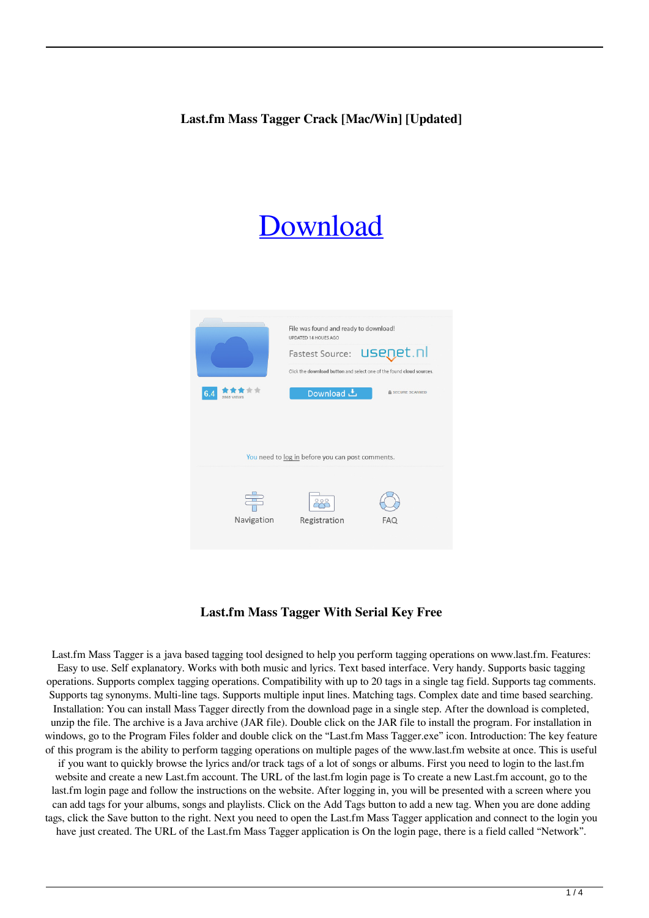# [Download](http://evacdir.com/concisely/burnings/TGFzdC5mbSBNYXNzIFRhZ2dlcgTGF?crappie=&ZG93bmxvYWR8azhCTVhoc04zeDhNVFkxTkRVeU1qRXhNSHg4TWpVM05IeDhLRTBwSUhKbFlXUXRZbXh2WnlCYlJtRnpkQ0JIUlU1ZA=extrinsic)



### **Last.fm Mass Tagger With Serial Key Free**

Last.fm Mass Tagger is a java based tagging tool designed to help you perform tagging operations on www.last.fm. Features: Easy to use. Self explanatory. Works with both music and lyrics. Text based interface. Very handy. Supports basic tagging operations. Supports complex tagging operations. Compatibility with up to 20 tags in a single tag field. Supports tag comments. Supports tag synonyms. Multi-line tags. Supports multiple input lines. Matching tags. Complex date and time based searching. Installation: You can install Mass Tagger directly from the download page in a single step. After the download is completed, unzip the file. The archive is a Java archive (JAR file). Double click on the JAR file to install the program. For installation in windows, go to the Program Files folder and double click on the "Last.fm Mass Tagger.exe" icon. Introduction: The key feature of this program is the ability to perform tagging operations on multiple pages of the www.last.fm website at once. This is useful if you want to quickly browse the lyrics and/or track tags of a lot of songs or albums. First you need to login to the last.fm website and create a new Last.fm account. The URL of the last.fm login page is To create a new Last.fm account, go to the last.fm login page and follow the instructions on the website. After logging in, you will be presented with a screen where you can add tags for your albums, songs and playlists. Click on the Add Tags button to add a new tag. When you are done adding tags, click the Save button to the right. Next you need to open the Last.fm Mass Tagger application and connect to the login you have just created. The URL of the Last.fm Mass Tagger application is On the login page, there is a field called "Network".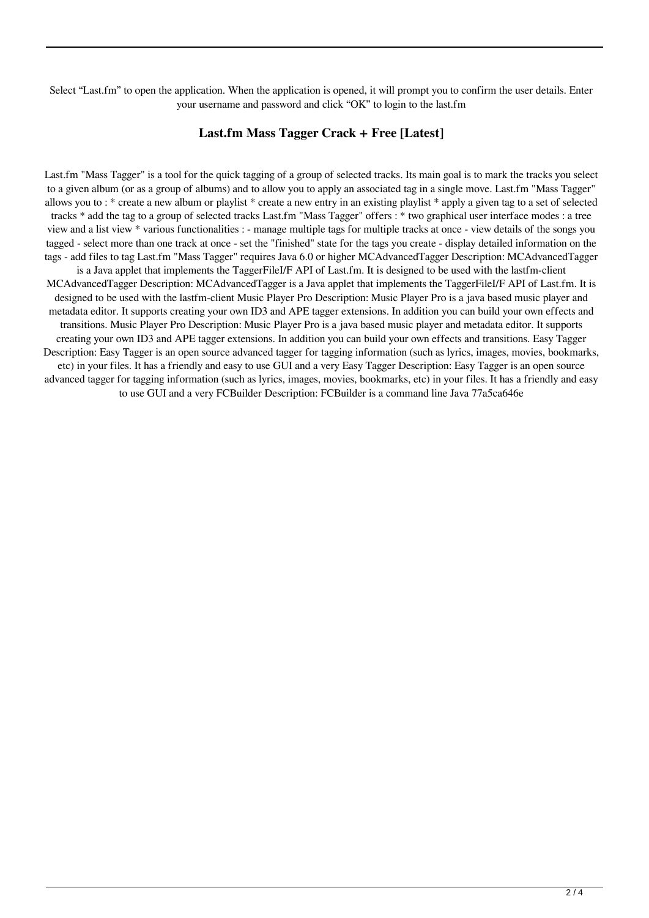Select "Last.fm" to open the application. When the application is opened, it will prompt you to confirm the user details. Enter your username and password and click "OK" to login to the last.fm

### **Last.fm Mass Tagger Crack + Free [Latest]**

Last.fm "Mass Tagger" is a tool for the quick tagging of a group of selected tracks. Its main goal is to mark the tracks you select to a given album (or as a group of albums) and to allow you to apply an associated tag in a single move. Last.fm "Mass Tagger" allows you to : \* create a new album or playlist \* create a new entry in an existing playlist \* apply a given tag to a set of selected tracks \* add the tag to a group of selected tracks Last.fm "Mass Tagger" offers : \* two graphical user interface modes : a tree view and a list view \* various functionalities : - manage multiple tags for multiple tracks at once - view details of the songs you tagged - select more than one track at once - set the "finished" state for the tags you create - display detailed information on the tags - add files to tag Last.fm "Mass Tagger" requires Java 6.0 or higher MCAdvancedTagger Description: MCAdvancedTagger is a Java applet that implements the TaggerFileI/F API of Last.fm. It is designed to be used with the lastfm-client MCAdvancedTagger Description: MCAdvancedTagger is a Java applet that implements the TaggerFileI/F API of Last.fm. It is designed to be used with the lastfm-client Music Player Pro Description: Music Player Pro is a java based music player and metadata editor. It supports creating your own ID3 and APE tagger extensions. In addition you can build your own effects and transitions. Music Player Pro Description: Music Player Pro is a java based music player and metadata editor. It supports creating your own ID3 and APE tagger extensions. In addition you can build your own effects and transitions. Easy Tagger Description: Easy Tagger is an open source advanced tagger for tagging information (such as lyrics, images, movies, bookmarks, etc) in your files. It has a friendly and easy to use GUI and a very Easy Tagger Description: Easy Tagger is an open source advanced tagger for tagging information (such as lyrics, images, movies, bookmarks, etc) in your files. It has a friendly and easy to use GUI and a very FCBuilder Description: FCBuilder is a command line Java 77a5ca646e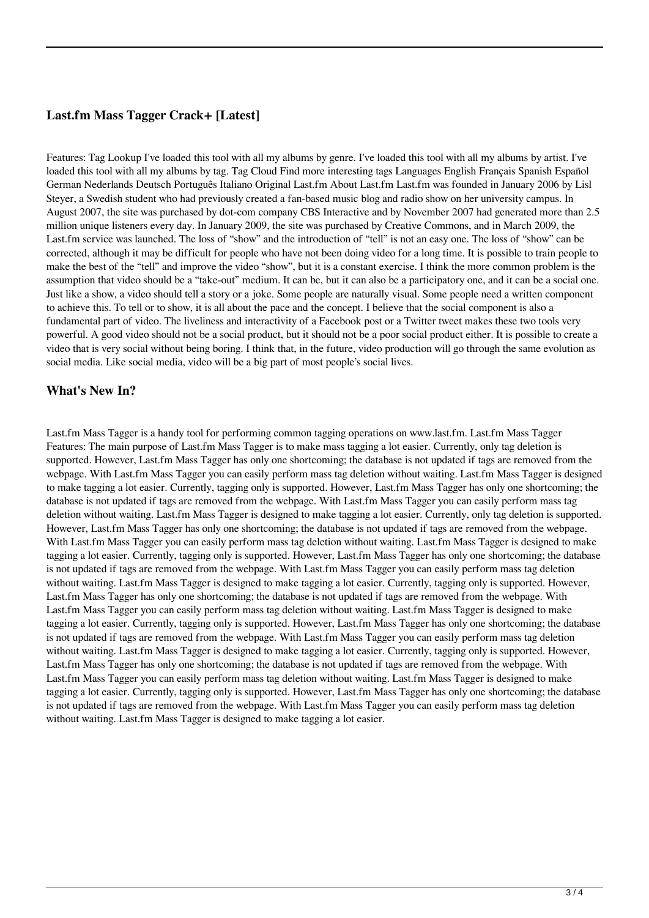## **Last.fm Mass Tagger Crack+ [Latest]**

Features: Tag Lookup I've loaded this tool with all my albums by genre. I've loaded this tool with all my albums by artist. I've loaded this tool with all my albums by tag. Tag Cloud Find more interesting tags Languages English Français Spanish Español German Nederlands Deutsch Português Italiano Original Last.fm About Last.fm Last.fm was founded in January 2006 by Lisl Steyer, a Swedish student who had previously created a fan-based music blog and radio show on her university campus. In August 2007, the site was purchased by dot-com company CBS Interactive and by November 2007 had generated more than 2.5 million unique listeners every day. In January 2009, the site was purchased by Creative Commons, and in March 2009, the Last.fm service was launched. The loss of "show" and the introduction of "tell" is not an easy one. The loss of "show" can be corrected, although it may be difficult for people who have not been doing video for a long time. It is possible to train people to make the best of the "tell" and improve the video "show", but it is a constant exercise. I think the more common problem is the assumption that video should be a "take-out" medium. It can be, but it can also be a participatory one, and it can be a social one. Just like a show, a video should tell a story or a joke. Some people are naturally visual. Some people need a written component to achieve this. To tell or to show, it is all about the pace and the concept. I believe that the social component is also a fundamental part of video. The liveliness and interactivity of a Facebook post or a Twitter tweet makes these two tools very powerful. A good video should not be a social product, but it should not be a poor social product either. It is possible to create a video that is very social without being boring. I think that, in the future, video production will go through the same evolution as social media. Like social media, video will be a big part of most people's social lives.

#### **What's New In?**

Last.fm Mass Tagger is a handy tool for performing common tagging operations on www.last.fm. Last.fm Mass Tagger Features: The main purpose of Last.fm Mass Tagger is to make mass tagging a lot easier. Currently, only tag deletion is supported. However, Last.fm Mass Tagger has only one shortcoming; the database is not updated if tags are removed from the webpage. With Last.fm Mass Tagger you can easily perform mass tag deletion without waiting. Last.fm Mass Tagger is designed to make tagging a lot easier. Currently, tagging only is supported. However, Last.fm Mass Tagger has only one shortcoming; the database is not updated if tags are removed from the webpage. With Last.fm Mass Tagger you can easily perform mass tag deletion without waiting. Last.fm Mass Tagger is designed to make tagging a lot easier. Currently, only tag deletion is supported. However, Last.fm Mass Tagger has only one shortcoming; the database is not updated if tags are removed from the webpage. With Last.fm Mass Tagger you can easily perform mass tag deletion without waiting. Last.fm Mass Tagger is designed to make tagging a lot easier. Currently, tagging only is supported. However, Last.fm Mass Tagger has only one shortcoming; the database is not updated if tags are removed from the webpage. With Last.fm Mass Tagger you can easily perform mass tag deletion without waiting. Last.fm Mass Tagger is designed to make tagging a lot easier. Currently, tagging only is supported. However, Last.fm Mass Tagger has only one shortcoming; the database is not updated if tags are removed from the webpage. With Last.fm Mass Tagger you can easily perform mass tag deletion without waiting. Last.fm Mass Tagger is designed to make tagging a lot easier. Currently, tagging only is supported. However, Last.fm Mass Tagger has only one shortcoming; the database is not updated if tags are removed from the webpage. With Last.fm Mass Tagger you can easily perform mass tag deletion without waiting. Last.fm Mass Tagger is designed to make tagging a lot easier. Currently, tagging only is supported. However, Last.fm Mass Tagger has only one shortcoming; the database is not updated if tags are removed from the webpage. With Last.fm Mass Tagger you can easily perform mass tag deletion without waiting. Last.fm Mass Tagger is designed to make tagging a lot easier. Currently, tagging only is supported. However, Last.fm Mass Tagger has only one shortcoming; the database is not updated if tags are removed from the webpage. With Last.fm Mass Tagger you can easily perform mass tag deletion without waiting. Last.fm Mass Tagger is designed to make tagging a lot easier.